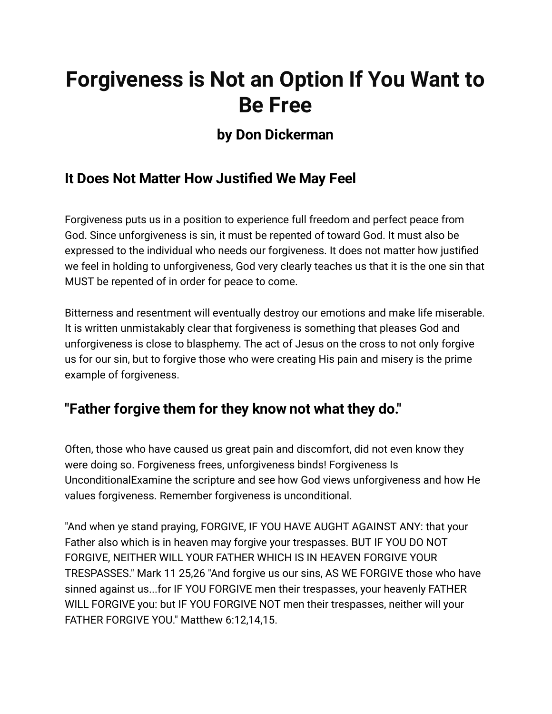# **Forgiveness is Not an Option If You Want to Be Free**

# **by Don Dickerman**

# **It Does Not Matter How Justified We May Feel**

Forgiveness puts us in a position to experience full freedom and perfect peace from God. Since unforgiveness is sin, it must be repented of toward God. It must also be expressed to the individual who needs our forgiveness. It does not matter how justified we feel in holding to unforgiveness, God very clearly teaches us that it is the one sin that MUST be repented of in order for peace to come.

Bitterness and resentment will eventually destroy our emotions and make life miserable. It is written unmistakably clear that forgiveness is something that pleases God and unforgiveness is close to blasphemy. The act of Jesus on the cross to not only forgive us for our sin, but to forgive those who were creating His pain and misery is the prime example of forgiveness.

#### **"Father forgive them for they know not what they do."**

Often, those who have caused us great pain and discomfort, did not even know they were doing so. Forgiveness frees, unforgiveness binds! Forgiveness Is UnconditionalExamine the scripture and see how God views unforgiveness and how He values forgiveness. Remember forgiveness is unconditional.

"And when ye stand praying, FORGIVE, IF YOU HAVE AUGHT AGAINST ANY: that your Father also which is in heaven may forgive your trespasses. BUT IF YOU DO NOT FORGIVE, NEITHER WILL YOUR FATHER WHICH IS IN HEAVEN FORGIVE YOUR TRESPASSES." Mark 11 25,26 "And forgive us our sins, AS WE FORGIVE those who have sinned against us...for IF YOU FORGIVE men their trespasses, your heavenly FATHER WILL FORGIVE you: but IF YOU FORGIVE NOT men their trespasses, neither will your FATHER FORGIVE YOU." Matthew 6:12,14,15.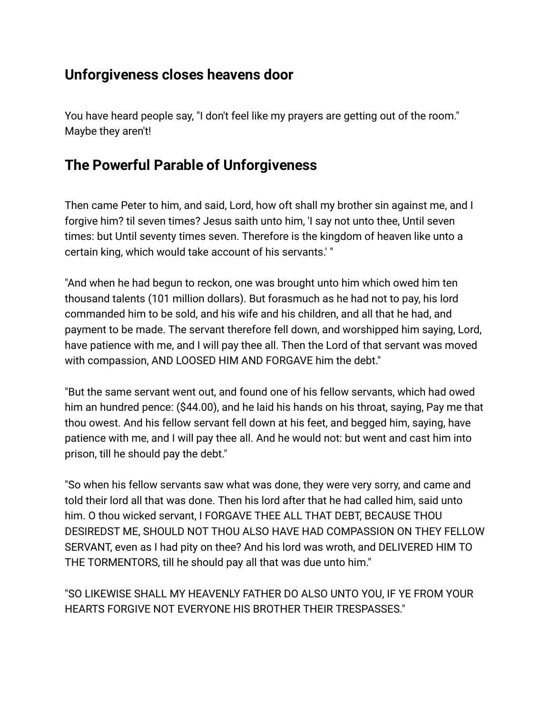## **Unforgiveness closes heavens door**

You have heard people say, "I don't feel like my prayers are getting out of the room." Maybe they aren't!

## **The Powerful Parable of Unforgiveness**

Then came Peter to him, and said, Lord, how oft shall my brother sin against me, and I forgive him? til seven times? Jesus saith unto him, 'I say not unto thee, Until seven times: but Until seventy times seven. Therefore is the kingdom of heaven like unto a certain king, which would take account of his servants.' "

"And when he had begun to reckon, one was brought unto him which owed him ten thousand talents (101 million dollars). But forasmuch as he had not to pay, his lord commanded him to be sold, and his wife and his children, and all that he had, and payment to be made. The servant therefore fell down, and worshipped him saying, Lord, have patience with me, and I will pay thee all. Then the Lord of that servant was moved with compassion, AND LOOSED HIM AND FORGAVE him the debt."

"But the same servant went out, and found one of his fellow servants, which had owed him an hundred pence: (\$44.00), and he laid his hands on his throat, saying, Pay me that thou owest. And his fellow servant fell down at his feet, and begged him, saying, have patience with me, and I will pay thee all. And he would not: but went and cast him into prison, till he should pay the debt."

"So when his fellow servants saw what was done, they were very sorry, and came and told their lord all that was done. Then his lord after that he had called him, said unto him. O thou wicked servant, I FORGAVE THEE ALL THAT DEBT, BECAUSE THOU DESIREDST ME, SHOULD NOT THOU ALSO HAVE HAD COMPASSION ON THEY FELLOW SERVANT, even as I had pity on thee? And his lord was wroth, and DELIVERED HIM TO THE TORMENTORS, till he should pay all that was due unto him."

"SO LIKEWISE SHALL MY HEAVENLY FATHER DO ALSO UNTO YOU, IF YE FROM YOUR HEARTS FORGIVE NOT EVERYONE HIS BROTHER THEIR TRESPASSES."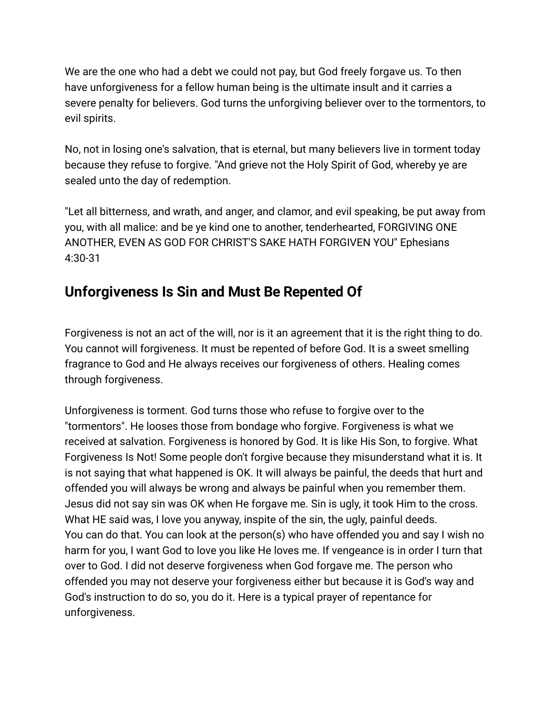We are the one who had a debt we could not pay, but God freely forgave us. To then have unforgiveness for a fellow human being is the ultimate insult and it carries a severe penalty for believers. God turns the unforgiving believer over to the tormentors, to evil spirits.

No, not in losing one's salvation, that is eternal, but many believers live in torment today because they refuse to forgive. "And grieve not the Holy Spirit of God, whereby ye are sealed unto the day of redemption.

"Let all bitterness, and wrath, and anger, and clamor, and evil speaking, be put away from you, with all malice: and be ye kind one to another, tenderhearted, FORGIVING ONE ANOTHER, EVEN AS GOD FOR CHRIST'S SAKE HATH FORGIVEN YOU" Ephesians 4:30-31

# **Unforgiveness Is Sin and Must Be Repented Of**

Forgiveness is not an act of the will, nor is it an agreement that it is the right thing to do. You cannot will forgiveness. It must be repented of before God. It is a sweet smelling fragrance to God and He always receives our forgiveness of others. Healing comes through forgiveness.

Unforgiveness is torment. God turns those who refuse to forgive over to the "tormentors". He looses those from bondage who forgive. Forgiveness is what we received at salvation. Forgiveness is honored by God. It is like His Son, to forgive. What Forgiveness Is Not! Some people don't forgive because they misunderstand what it is. It is not saying that what happened is OK. It will always be painful, the deeds that hurt and offended you will always be wrong and always be painful when you remember them. Jesus did not say sin was OK when He forgave me. Sin is ugly, it took Him to the cross. What HE said was, I love you anyway, inspite of the sin, the ugly, painful deeds. You can do that. You can look at the person(s) who have offended you and say I wish no harm for you, I want God to love you like He loves me. If vengeance is in order I turn that over to God. I did not deserve forgiveness when God forgave me. The person who offended you may not deserve your forgiveness either but because it is God's way and God's instruction to do so, you do it. Here is a typical prayer of repentance for unforgiveness.